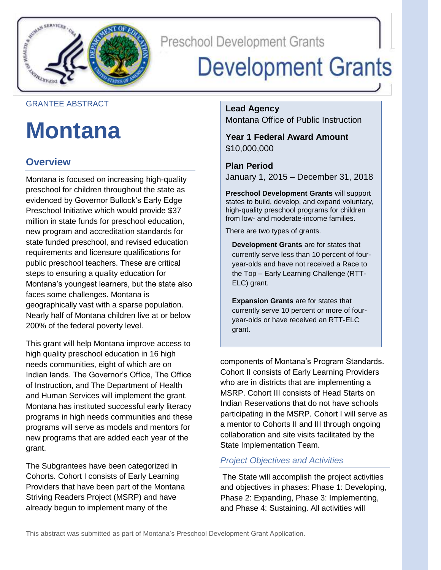

**Preschool Development Grants** 

# **Development Grants**

### GRANTEE ABSTRACT

## **Montana**

## **Overview**

 Montana is focused on increasing high-quality preschool for children throughout the state as evidenced by Governor Bullock's Early Edge million in state funds for preschool education, new program and accreditation standards for state funded preschool, and revised education requirements and licensure qualifications for public preschool teachers. These are critical steps to ensuring a quality education for Montana's youngest learners, but the state also geographically vast with a sparse population. Nearly half of Montana children live at or below 200% of the federal poverty level. Preschool Initiative which would provide \$37 faces some challenges. Montana is

 This grant will help Montana improve access to high quality preschool education in 16 high needs communities, eight of which are on Indian lands. The Governor's Office, The Office of Instruction, and The Department of Health and Human Services will implement the grant. Montana has instituted successful early literacy programs in high needs communities and these new programs that are added each year of the grant. programs will serve as models and mentors for

 Cohorts. Cohort I consists of Early Learning Providers that have been part of the Montana Striving Readers Project (MSRP) and have already begun to implement many of the The Subgrantees have been categorized in

**Lead Agency**  Montana Office of Public Instruction

**Year 1 Federal Award Amount**  \$10,000,000

**Plan Period**  January 1, 2015 – December 31, 2018

 states to build, develop, and expand voluntary, **Preschool Development Grants** will support high-quality preschool programs for children from low- and moderate-income families.

There are two types of grants.

 year-olds and have not received a Race to **Development Grants** are for states that currently serve less than 10 percent of fourthe Top – Early Learning Challenge (RTT-ELC) grant.

 currently serve 10 percent or more of four-**Expansion Grants** are for states that year-olds or have received an RTT-ELC grant.

 components of Montana's Program Standards. Cohort II consists of Early Learning Providers who are in districts that are implementing a MSRP. Cohort III consists of Head Starts on Indian Reservations that do not have schools participating in the MSRP. Cohort I will serve as a mentor to Cohorts II and III through ongoing collaboration and site visits facilitated by the State Implementation Team.

## *Project Objectives and Activities*

 The State will accomplish the project activities and objectives in phases: Phase 1: Developing, Phase 2: Expanding, Phase 3: Implementing, and Phase 4: Sustaining. All activities will